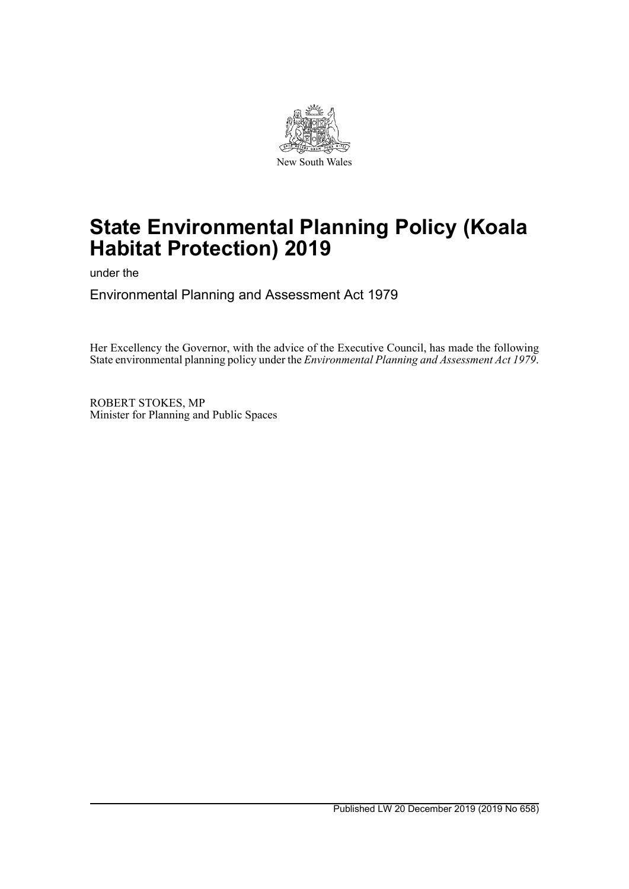

# **State Environmental Planning Policy (Koala Habitat Protection) 2019**

under the

Environmental Planning and Assessment Act 1979

Her Excellency the Governor, with the advice of the Executive Council, has made the following State environmental planning policy under the *Environmental Planning and Assessment Act 1979*.

ROBERT STOKES, MP Minister for Planning and Public Spaces

Published LW 20 December 2019 (2019 No 658)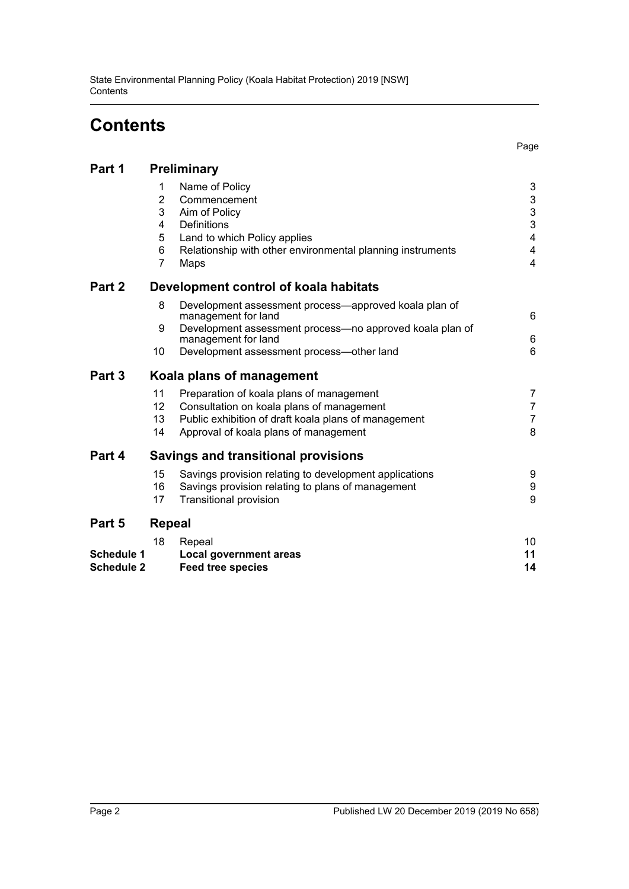# **Contents**

Page

| Part 1            |                                                           | <b>Preliminary</b>                                                                                                                                                                                           |                                                                                |
|-------------------|-----------------------------------------------------------|--------------------------------------------------------------------------------------------------------------------------------------------------------------------------------------------------------------|--------------------------------------------------------------------------------|
|                   | 1<br>$\overline{2}$<br>3<br>4<br>5<br>6<br>$\overline{7}$ | Name of Policy<br>Commencement<br>Aim of Policy<br>Definitions<br>Land to which Policy applies<br>Relationship with other environmental planning instruments<br>Maps                                         | 3<br>$\ensuremath{\mathsf{3}}$<br>$\mathsf 3$<br>3<br>4<br>$\overline{4}$<br>4 |
| Part 2            |                                                           | Development control of koala habitats                                                                                                                                                                        |                                                                                |
|                   | 8<br>9<br>10                                              | Development assessment process—approved koala plan of<br>management for land<br>Development assessment process-no approved koala plan of<br>management for land<br>Development assessment process-other land | 6<br>6<br>6                                                                    |
| Part 3            |                                                           | Koala plans of management                                                                                                                                                                                    |                                                                                |
|                   | 11<br>12<br>13<br>14                                      | Preparation of koala plans of management<br>Consultation on koala plans of management<br>Public exhibition of draft koala plans of management<br>Approval of koala plans of management                       | 7<br>$\overline{7}$<br>$\overline{7}$<br>8                                     |
| Part 4            |                                                           | <b>Savings and transitional provisions</b>                                                                                                                                                                   |                                                                                |
|                   | 15<br>16<br>17                                            | Savings provision relating to development applications<br>Savings provision relating to plans of management<br><b>Transitional provision</b>                                                                 | 9<br>$\boldsymbol{9}$<br>9                                                     |
| Part 5            | <b>Repeal</b>                                             |                                                                                                                                                                                                              |                                                                                |
| <b>Schedule 1</b> | 18                                                        | Repeal<br><b>Local government areas</b>                                                                                                                                                                      | 10<br>11                                                                       |

| <b>UCHECHE</b> I  | LUCAI YUVUTIIIIIUIIL ALGAS |  |
|-------------------|----------------------------|--|
| <b>Schedule 2</b> | <b>Feed tree species</b>   |  |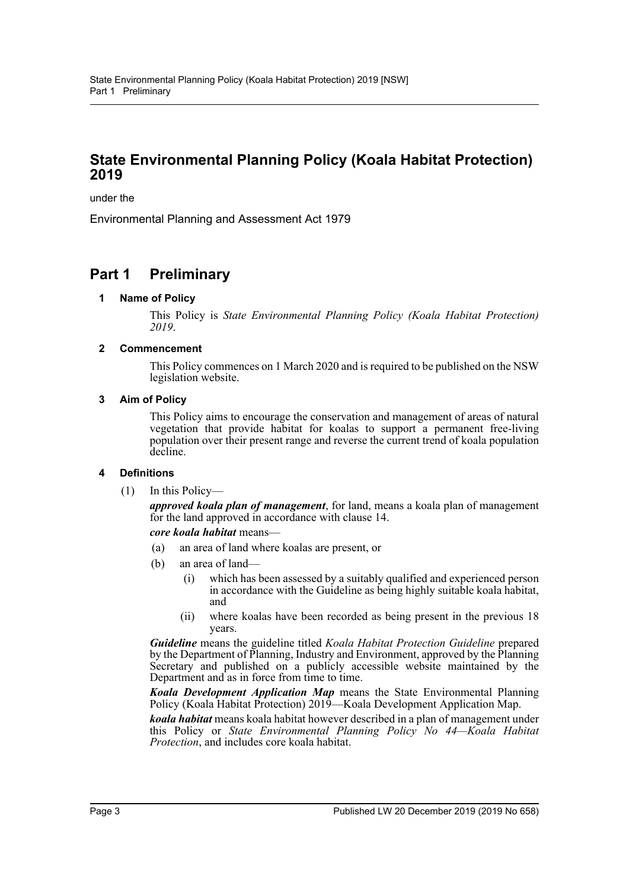### **State Environmental Planning Policy (Koala Habitat Protection) 2019**

under the

Environmental Planning and Assessment Act 1979

### <span id="page-2-1"></span><span id="page-2-0"></span>**Part 1 Preliminary**

#### **1 Name of Policy**

This Policy is *State Environmental Planning Policy (Koala Habitat Protection) 2019*.

#### <span id="page-2-2"></span>**2 Commencement**

This Policy commences on 1 March 2020 and is required to be published on the NSW legislation website.

#### <span id="page-2-3"></span>**3 Aim of Policy**

This Policy aims to encourage the conservation and management of areas of natural vegetation that provide habitat for koalas to support a permanent free-living population over their present range and reverse the current trend of koala population decline.

#### <span id="page-2-4"></span>**4 Definitions**

(1) In this Policy—

*approved koala plan of management*, for land, means a koala plan of management for the land approved in accordance with clause 14.

#### *core koala habitat* means—

- (a) an area of land where koalas are present, or
- (b) an area of land—
	- (i) which has been assessed by a suitably qualified and experienced person in accordance with the Guideline as being highly suitable koala habitat, and
	- (ii) where koalas have been recorded as being present in the previous 18 years.

*Guideline* means the guideline titled *Koala Habitat Protection Guideline* prepared by the Department of Planning, Industry and Environment, approved by the Planning Secretary and published on a publicly accessible website maintained by the Department and as in force from time to time.

*Koala Development Application Map* means the State Environmental Planning Policy (Koala Habitat Protection) 2019—Koala Development Application Map.

*koala habitat* means koala habitat however described in a plan of management under this Policy or *State Environmental Planning Policy No 44—Koala Habitat Protection*, and includes core koala habitat.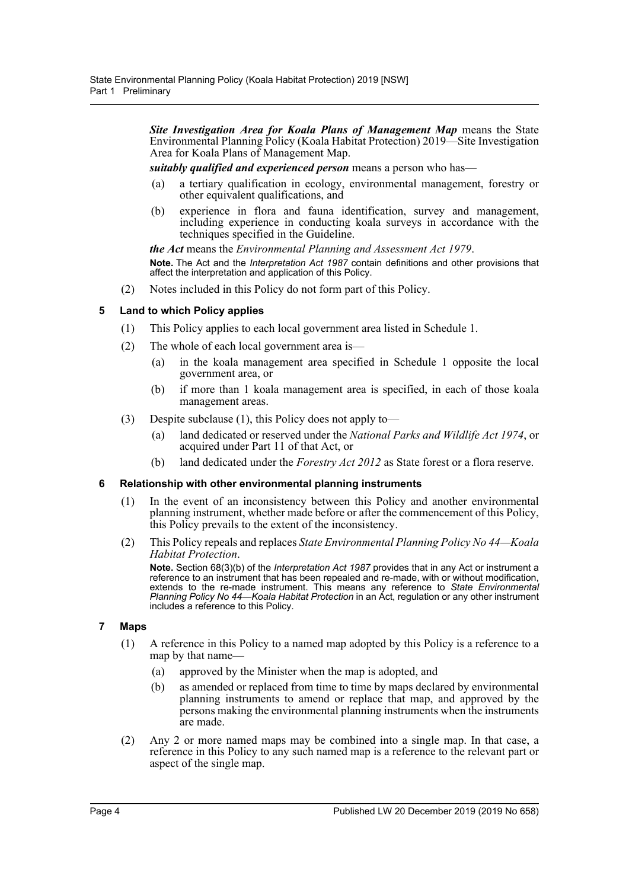*Site Investigation Area for Koala Plans of Management Map* means the State Environmental Planning Policy (Koala Habitat Protection) 2019—Site Investigation Area for Koala Plans of Management Map.

*suitably qualified and experienced person* means a person who has—

- (a) a tertiary qualification in ecology, environmental management, forestry or other equivalent qualifications, and
- (b) experience in flora and fauna identification, survey and management, including experience in conducting koala surveys in accordance with the techniques specified in the Guideline.

*the Act* means the *Environmental Planning and Assessment Act 1979*.

**Note.** The Act and the *Interpretation Act 1987* contain definitions and other provisions that affect the interpretation and application of this Policy.

(2) Notes included in this Policy do not form part of this Policy.

#### <span id="page-3-0"></span>**5 Land to which Policy applies**

- (1) This Policy applies to each local government area listed in Schedule 1.
- (2) The whole of each local government area is—
	- (a) in the koala management area specified in Schedule 1 opposite the local government area, or
	- (b) if more than 1 koala management area is specified, in each of those koala management areas.
- (3) Despite subclause (1), this Policy does not apply to—
	- (a) land dedicated or reserved under the *National Parks and Wildlife Act 1974*, or acquired under Part 11 of that Act, or
	- (b) land dedicated under the *Forestry Act 2012* as State forest or a flora reserve.

#### <span id="page-3-1"></span>**6 Relationship with other environmental planning instruments**

- (1) In the event of an inconsistency between this Policy and another environmental planning instrument, whether made before or after the commencement of this Policy, this Policy prevails to the extent of the inconsistency.
- (2) This Policy repeals and replaces *State Environmental Planning Policy No 44—Koala Habitat Protection*.

**Note.** Section 68(3)(b) of the *Interpretation Act 1987* provides that in any Act or instrument a reference to an instrument that has been repealed and re-made, with or without modification, extends to the re-made instrument. This means any reference to *State Environmental Planning Policy No 44—Koala Habitat Protection* in an Act, regulation or any other instrument includes a reference to this Policy.

#### <span id="page-3-2"></span>**7 Maps**

- (1) A reference in this Policy to a named map adopted by this Policy is a reference to a map by that name—
	- (a) approved by the Minister when the map is adopted, and
	- (b) as amended or replaced from time to time by maps declared by environmental planning instruments to amend or replace that map, and approved by the persons making the environmental planning instruments when the instruments are made.
- (2) Any 2 or more named maps may be combined into a single map. In that case, a reference in this Policy to any such named map is a reference to the relevant part or aspect of the single map.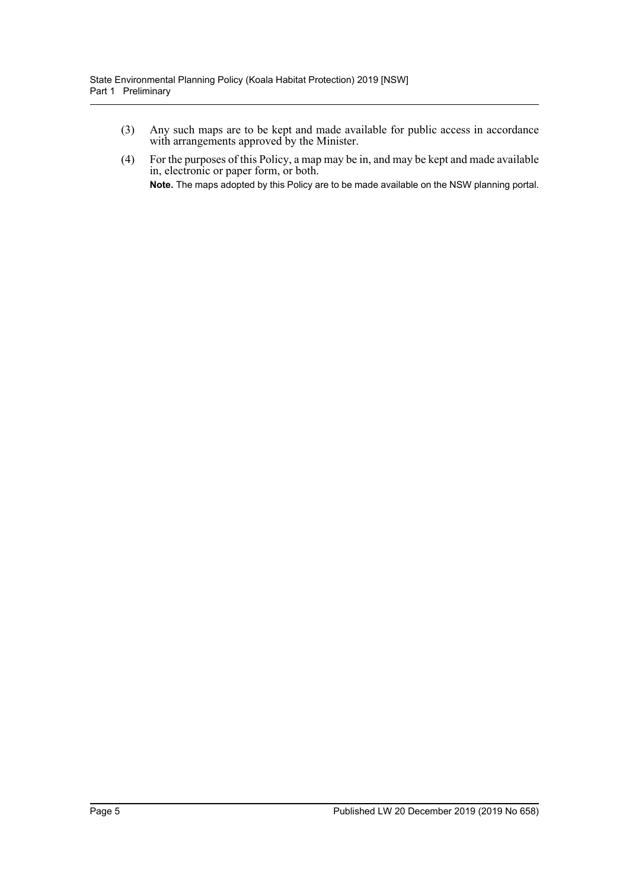- (3) Any such maps are to be kept and made available for public access in accordance with arrangements approved by the Minister.
- (4) For the purposes of this Policy, a map may be in, and may be kept and made available in, electronic or paper form, or both. **Note.** The maps adopted by this Policy are to be made available on the NSW planning portal.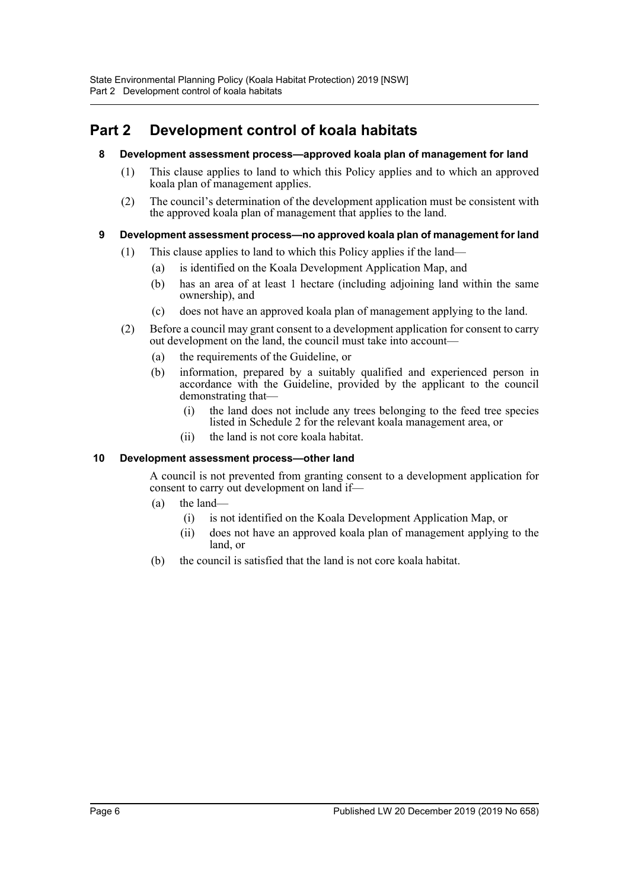## <span id="page-5-1"></span><span id="page-5-0"></span>**Part 2 Development control of koala habitats**

#### **8 Development assessment process—approved koala plan of management for land**

- (1) This clause applies to land to which this Policy applies and to which an approved koala plan of management applies.
- (2) The council's determination of the development application must be consistent with the approved koala plan of management that applies to the land.

### <span id="page-5-2"></span>**9 Development assessment process—no approved koala plan of management for land**

- (1) This clause applies to land to which this Policy applies if the land—
	- (a) is identified on the Koala Development Application Map, and
	- (b) has an area of at least 1 hectare (including adjoining land within the same ownership), and
	- (c) does not have an approved koala plan of management applying to the land.
- (2) Before a council may grant consent to a development application for consent to carry out development on the land, the council must take into account—
	- (a) the requirements of the Guideline, or
	- (b) information, prepared by a suitably qualified and experienced person in accordance with the Guideline, provided by the applicant to the council demonstrating that—
		- (i) the land does not include any trees belonging to the feed tree species listed in Schedule 2 for the relevant koala management area, or
		- (ii) the land is not core koala habitat.

#### <span id="page-5-3"></span>**10 Development assessment process—other land**

A council is not prevented from granting consent to a development application for consent to carry out development on land if—

- (a) the land—
	- (i) is not identified on the Koala Development Application Map, or
	- (ii) does not have an approved koala plan of management applying to the land, or
- (b) the council is satisfied that the land is not core koala habitat.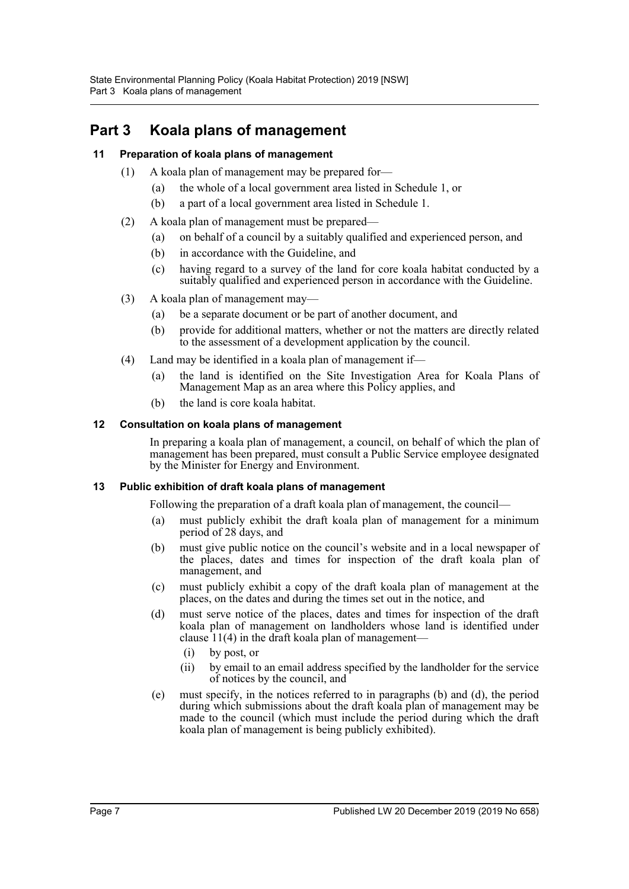# <span id="page-6-0"></span>**Part 3 Koala plans of management**

### <span id="page-6-1"></span>**11 Preparation of koala plans of management**

- (1) A koala plan of management may be prepared for—
	- (a) the whole of a local government area listed in Schedule 1, or
	- (b) a part of a local government area listed in Schedule 1.
- (2) A koala plan of management must be prepared—
	- (a) on behalf of a council by a suitably qualified and experienced person, and
	- (b) in accordance with the Guideline, and
	- (c) having regard to a survey of the land for core koala habitat conducted by a suitably qualified and experienced person in accordance with the Guideline.
- (3) A koala plan of management may—
	- (a) be a separate document or be part of another document, and
	- (b) provide for additional matters, whether or not the matters are directly related to the assessment of a development application by the council.
- (4) Land may be identified in a koala plan of management if—
	- (a) the land is identified on the Site Investigation Area for Koala Plans of Management Map as an area where this Policy applies, and
	- (b) the land is core koala habitat.

#### <span id="page-6-2"></span>**12 Consultation on koala plans of management**

In preparing a koala plan of management, a council, on behalf of which the plan of management has been prepared, must consult a Public Service employee designated by the Minister for Energy and Environment.

#### <span id="page-6-3"></span>**13 Public exhibition of draft koala plans of management**

Following the preparation of a draft koala plan of management, the council—

- (a) must publicly exhibit the draft koala plan of management for a minimum period of 28 days, and
- (b) must give public notice on the council's website and in a local newspaper of the places, dates and times for inspection of the draft koala plan of management, and
- (c) must publicly exhibit a copy of the draft koala plan of management at the places, on the dates and during the times set out in the notice, and
- (d) must serve notice of the places, dates and times for inspection of the draft koala plan of management on landholders whose land is identified under clause 11(4) in the draft koala plan of management—
	- (i) by post, or
	- (ii) by email to an email address specified by the landholder for the service of notices by the council, and
- (e) must specify, in the notices referred to in paragraphs (b) and (d), the period during which submissions about the draft koala plan of management may be made to the council (which must include the period during which the draft koala plan of management is being publicly exhibited).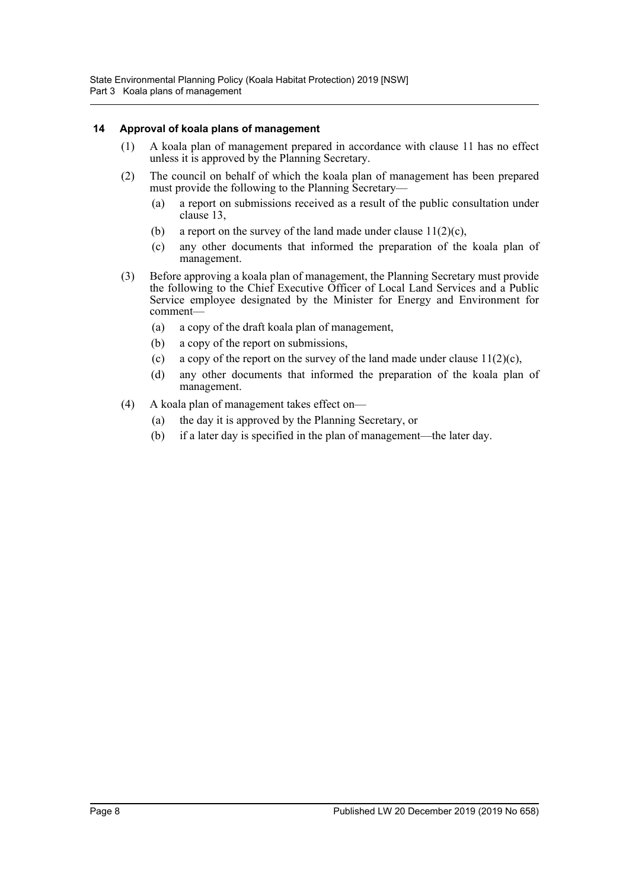#### <span id="page-7-0"></span>**14 Approval of koala plans of management**

- (1) A koala plan of management prepared in accordance with clause 11 has no effect unless it is approved by the Planning Secretary.
- (2) The council on behalf of which the koala plan of management has been prepared must provide the following to the Planning Secretary—
	- (a) a report on submissions received as a result of the public consultation under clause 13,
	- (b) a report on the survey of the land made under clause  $11(2)(c)$ ,
	- (c) any other documents that informed the preparation of the koala plan of management.
- (3) Before approving a koala plan of management, the Planning Secretary must provide the following to the Chief Executive Officer of Local Land Services and a Public Service employee designated by the Minister for Energy and Environment for comment—
	- (a) a copy of the draft koala plan of management,
	- (b) a copy of the report on submissions,
	- (c) a copy of the report on the survey of the land made under clause  $11(2)(c)$ ,
	- (d) any other documents that informed the preparation of the koala plan of management.
- (4) A koala plan of management takes effect on—
	- (a) the day it is approved by the Planning Secretary, or
	- (b) if a later day is specified in the plan of management—the later day.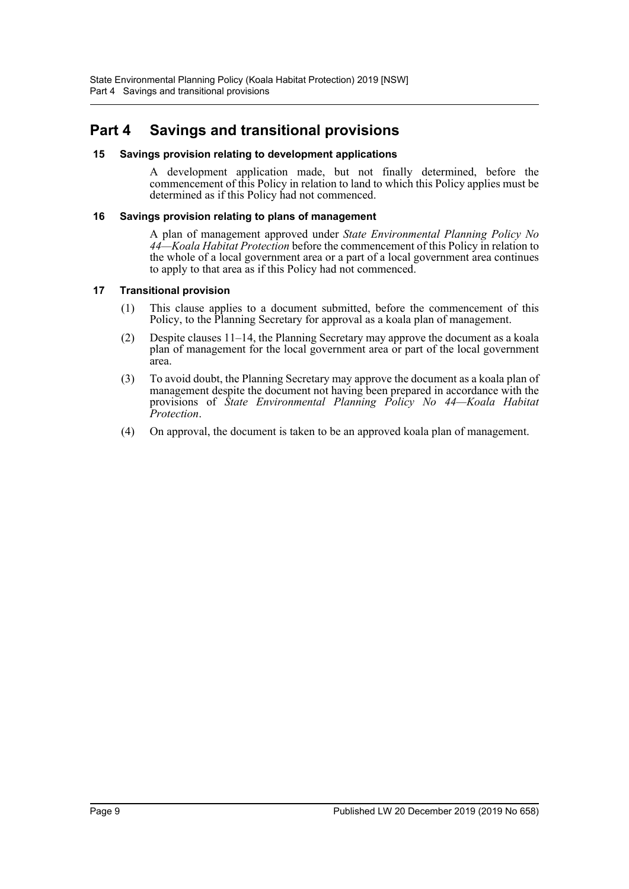### <span id="page-8-0"></span>**Part 4 Savings and transitional provisions**

#### <span id="page-8-1"></span>**15 Savings provision relating to development applications**

A development application made, but not finally determined, before the commencement of this Policy in relation to land to which this Policy applies must be determined as if this Policy had not commenced.

#### <span id="page-8-2"></span>**16 Savings provision relating to plans of management**

A plan of management approved under *State Environmental Planning Policy No 44—Koala Habitat Protection* before the commencement of this Policy in relation to the whole of a local government area or a part of a local government area continues to apply to that area as if this Policy had not commenced.

#### <span id="page-8-3"></span>**17 Transitional provision**

- (1) This clause applies to a document submitted, before the commencement of this Policy, to the Planning Secretary for approval as a koala plan of management.
- (2) Despite clauses 11–14, the Planning Secretary may approve the document as a koala plan of management for the local government area or part of the local government area.
- (3) To avoid doubt, the Planning Secretary may approve the document as a koala plan of management despite the document not having been prepared in accordance with the provisions of *State Environmental Planning Policy No 44—Koala Habitat Protection*.
- (4) On approval, the document is taken to be an approved koala plan of management.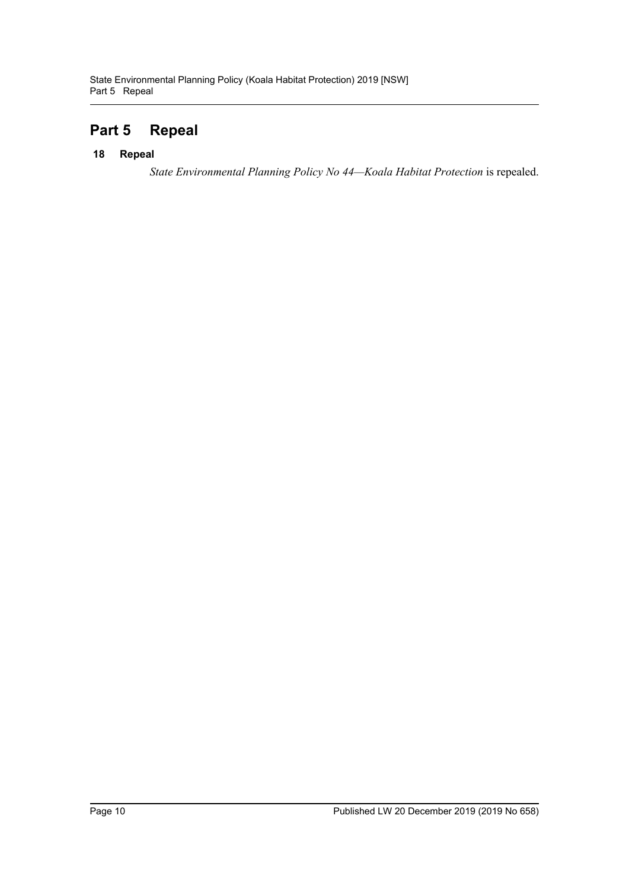## <span id="page-9-0"></span>**Part 5 Repeal**

#### <span id="page-9-1"></span>**18 Repeal**

*State Environmental Planning Policy No 44—Koala Habitat Protection* is repealed.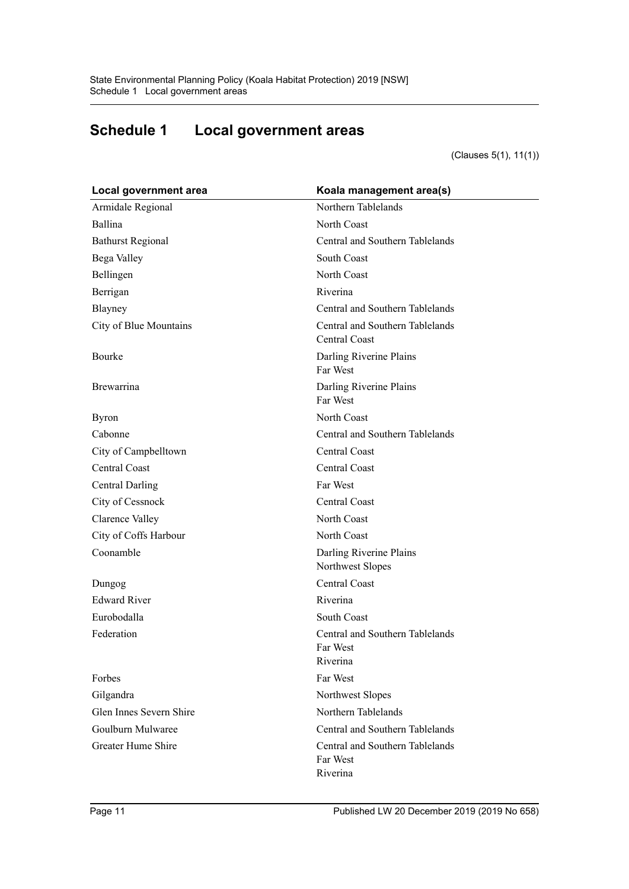# <span id="page-10-0"></span>**Schedule 1 Local government areas**

(Clauses 5(1), 11(1))

| Local government area    | Koala management area(s)                                |
|--------------------------|---------------------------------------------------------|
| Armidale Regional        | Northern Tablelands                                     |
| Ballina                  | North Coast                                             |
| <b>Bathurst Regional</b> | Central and Southern Tablelands                         |
| Bega Valley              | South Coast                                             |
| Bellingen                | North Coast                                             |
| Berrigan                 | Riverina                                                |
| Blayney                  | Central and Southern Tablelands                         |
| City of Blue Mountains   | Central and Southern Tablelands<br>Central Coast        |
| Bourke                   | Darling Riverine Plains<br>Far West                     |
| Brewarrina               | Darling Riverine Plains<br>Far West                     |
| <b>Byron</b>             | North Coast                                             |
| Cabonne                  | Central and Southern Tablelands                         |
| City of Campbelltown     | Central Coast                                           |
| <b>Central Coast</b>     | Central Coast                                           |
| <b>Central Darling</b>   | Far West                                                |
| City of Cessnock         | Central Coast                                           |
| Clarence Valley          | North Coast                                             |
| City of Coffs Harbour    | North Coast                                             |
| Coonamble                | Darling Riverine Plains<br>Northwest Slopes             |
| Dungog                   | Central Coast                                           |
| <b>Edward River</b>      | Riverina                                                |
| Eurobodalla              | South Coast                                             |
| Federation               | Central and Southern Tablelands<br>Far West<br>Riverina |
| Forbes                   | Far West                                                |
| Gilgandra                | Northwest Slopes                                        |
| Glen Innes Severn Shire  | Northern Tablelands                                     |
| Goulburn Mulwaree        | Central and Southern Tablelands                         |
| Greater Hume Shire       | Central and Southern Tablelands<br>Far West<br>Riverina |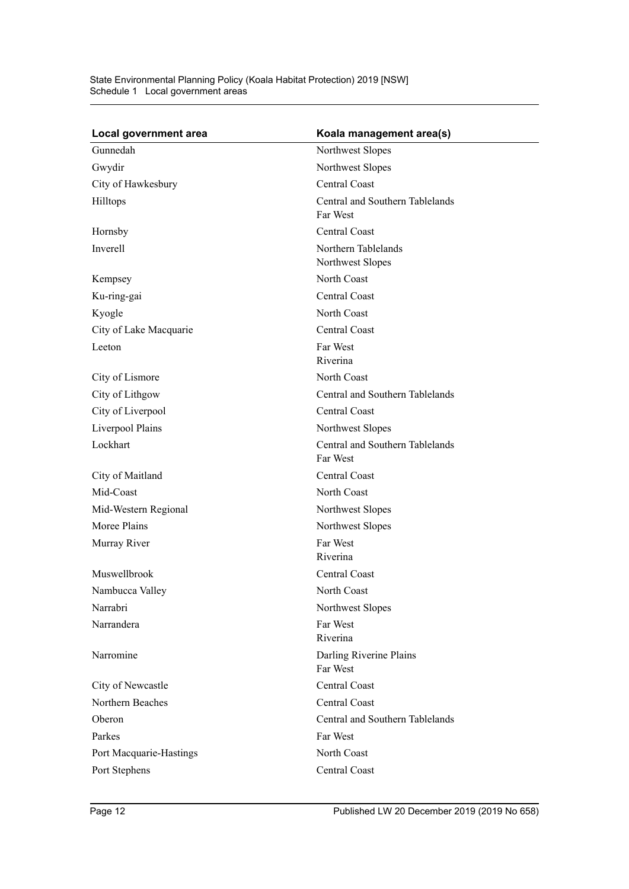| Local government area   | Koala management area(s)                    |
|-------------------------|---------------------------------------------|
| Gunnedah                | Northwest Slopes                            |
| Gwydir                  | Northwest Slopes                            |
| City of Hawkesbury      | Central Coast                               |
| Hilltops                | Central and Southern Tablelands<br>Far West |
| Hornsby                 | Central Coast                               |
| Inverell                | Northern Tablelands<br>Northwest Slopes     |
| Kempsey                 | North Coast                                 |
| Ku-ring-gai             | Central Coast                               |
| Kyogle                  | North Coast                                 |
| City of Lake Macquarie  | Central Coast                               |
| Leeton                  | Far West<br>Riverina                        |
| City of Lismore         | North Coast                                 |
| City of Lithgow         | Central and Southern Tablelands             |
| City of Liverpool       | Central Coast                               |
| Liverpool Plains        | Northwest Slopes                            |
| Lockhart                | Central and Southern Tablelands<br>Far West |
| City of Maitland        | Central Coast                               |
| Mid-Coast               | North Coast                                 |
| Mid-Western Regional    | Northwest Slopes                            |
| Moree Plains            | Northwest Slopes                            |
| Murray River            | Far West<br>Riverina                        |
| Muswellbrook            | Central Coast                               |
| Nambucca Valley         | North Coast                                 |
| Narrabri                | Northwest Slopes                            |
| Narrandera              | Far West<br>Riverina                        |
| Narromine               | Darling Riverine Plains<br>Far West         |
| City of Newcastle       | Central Coast                               |
| Northern Beaches        | Central Coast                               |
| Oberon                  | Central and Southern Tablelands             |
| Parkes                  | Far West                                    |
| Port Macquarie-Hastings | North Coast                                 |
| Port Stephens           | Central Coast                               |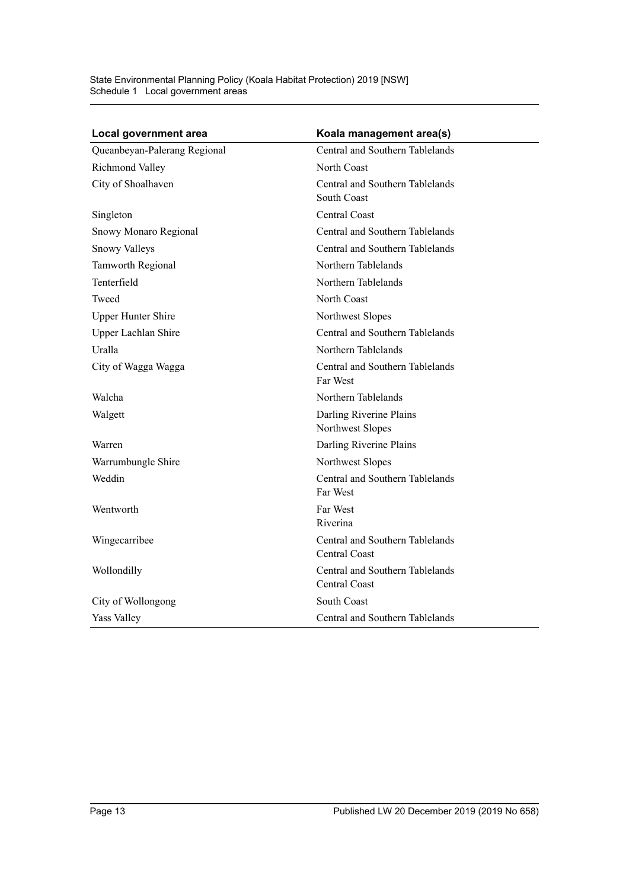State Environmental Planning Policy (Koala Habitat Protection) 2019 [NSW] Schedule 1 Local government areas

| Local government area        | Koala management area(s)                         |
|------------------------------|--------------------------------------------------|
| Queanbeyan-Palerang Regional | Central and Southern Tablelands                  |
| Richmond Valley              | North Coast                                      |
| City of Shoalhaven           | Central and Southern Tablelands<br>South Coast   |
| Singleton                    | Central Coast                                    |
| Snowy Monaro Regional        | Central and Southern Tablelands                  |
| Snowy Valleys                | Central and Southern Tablelands                  |
| Tamworth Regional            | Northern Tablelands                              |
| Tenterfield                  | Northern Tablelands                              |
| Tweed                        | North Coast                                      |
| <b>Upper Hunter Shire</b>    | Northwest Slopes                                 |
| Upper Lachlan Shire          | Central and Southern Tablelands                  |
| Uralla                       | Northern Tablelands                              |
| City of Wagga Wagga          | Central and Southern Tablelands<br>Far West      |
| Walcha                       | Northern Tablelands                              |
| Walgett                      | Darling Riverine Plains<br>Northwest Slopes      |
| Warren                       | Darling Riverine Plains                          |
| Warrumbungle Shire           | Northwest Slopes                                 |
| Weddin                       | Central and Southern Tablelands<br>Far West      |
| Wentworth                    | Far West<br>Riverina                             |
| Wingecarribee                | Central and Southern Tablelands<br>Central Coast |
| Wollondilly                  | Central and Southern Tablelands<br>Central Coast |
| City of Wollongong           | South Coast                                      |
| Yass Valley                  | Central and Southern Tablelands                  |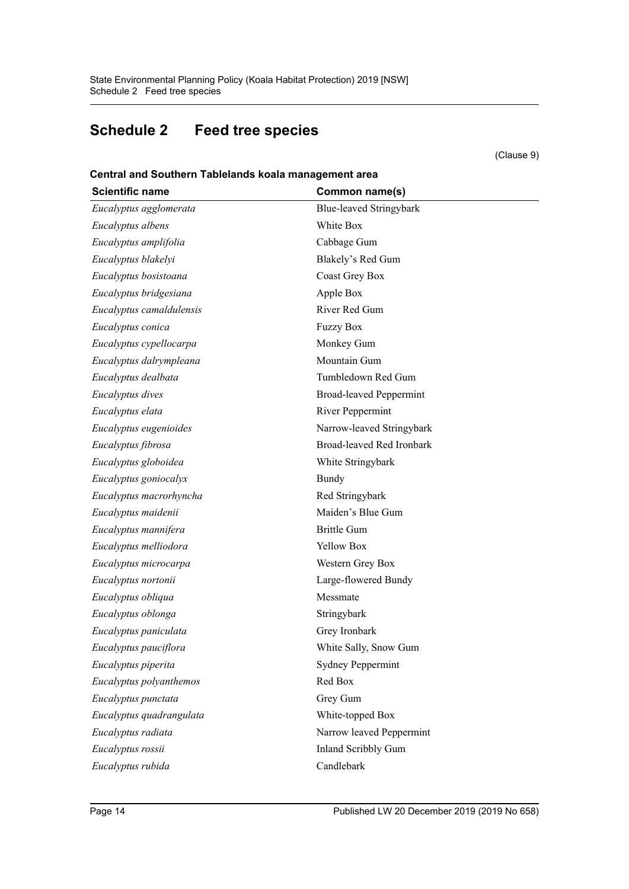# <span id="page-13-0"></span>**Schedule 2 Feed tree species**

(Clause 9)

**Central and Southern Tablelands koala management area**

| <b>Scientific name</b>   | Common name(s)                 |
|--------------------------|--------------------------------|
| Eucalyptus agglomerata   | Blue-leaved Stringybark        |
| Eucalyptus albens        | White Box                      |
| Eucalyptus amplifolia    | Cabbage Gum                    |
| Eucalyptus blakelyi      | Blakely's Red Gum              |
| Eucalyptus bosistoana    | Coast Grey Box                 |
| Eucalyptus bridgesiana   | Apple Box                      |
| Eucalyptus camaldulensis | River Red Gum                  |
| Eucalyptus conica        | <b>Fuzzy Box</b>               |
| Eucalyptus cypellocarpa  | Monkey Gum                     |
| Eucalyptus dalrympleana  | Mountain Gum                   |
| Eucalyptus dealbata      | Tumbledown Red Gum             |
| Eucalyptus dives         | <b>Broad-leaved Peppermint</b> |
| Eucalyptus elata         | River Peppermint               |
| Eucalyptus eugenioides   | Narrow-leaved Stringybark      |
| Eucalyptus fibrosa       | Broad-leaved Red Ironbark      |
| Eucalyptus globoidea     | White Stringybark              |
| Eucalyptus goniocalyx    | Bundy                          |
| Eucalyptus macrorhyncha  | Red Stringybark                |
| Eucalyptus maidenii      | Maiden's Blue Gum              |
| Eucalyptus mannifera     | <b>Brittle Gum</b>             |
| Eucalyptus melliodora    | Yellow Box                     |
| Eucalyptus microcarpa    | Western Grey Box               |
| Eucalyptus nortonii      | Large-flowered Bundy           |
| Eucalyptus obliqua       | Messmate                       |
| Eucalyptus oblonga       | Stringybark                    |
| Eucalyptus paniculata    | Grey Ironbark                  |
| Eucalyptus pauciflora    | White Sally, Snow Gum          |
| Eucalyptus piperita      | <b>Sydney Peppermint</b>       |
| Eucalyptus polyanthemos  | Red Box                        |
| Eucalyptus punctata      | Grey Gum                       |
| Eucalyptus quadrangulata | White-topped Box               |
| Eucalyptus radiata       | Narrow leaved Peppermint       |
| Eucalyptus rossii        | Inland Scribbly Gum            |
| Eucalyptus rubida        | Candlebark                     |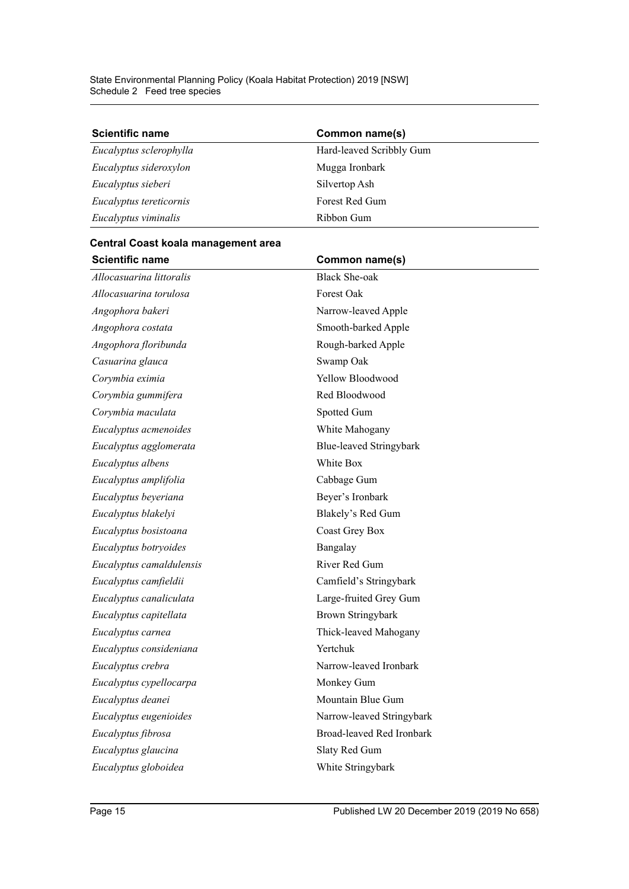| <b>Scientific name</b>  | Common name(s)           |
|-------------------------|--------------------------|
| Eucalyptus sclerophylla | Hard-leaved Scribbly Gum |
| Eucalyptus sideroxylon  | Mugga Ironbark           |
| Eucalyptus sieberi      | Silvertop Ash            |
| Eucalyptus tereticornis | Forest Red Gum           |
| Eucalyptus viminalis    | Ribbon Gum               |

#### **Central Coast koala management area**

| Allocasuarina littoralis<br>Forest Oak<br>Allocasuarina torulosa<br>Angophora bakeri | <b>Black She-oak</b><br>Narrow-leaved Apple<br>Smooth-barked Apple<br>Rough-barked Apple |
|--------------------------------------------------------------------------------------|------------------------------------------------------------------------------------------|
|                                                                                      |                                                                                          |
|                                                                                      |                                                                                          |
|                                                                                      |                                                                                          |
| Angophora costata                                                                    |                                                                                          |
| Angophora floribunda                                                                 |                                                                                          |
| Casuarina glauca<br>Swamp Oak                                                        |                                                                                          |
| Yellow Bloodwood<br>Corymbia eximia                                                  |                                                                                          |
| Corymbia gummifera                                                                   | Red Bloodwood                                                                            |
| Corymbia maculata<br>Spotted Gum                                                     |                                                                                          |
| Eucalyptus acmenoides                                                                | White Mahogany                                                                           |
| Eucalyptus agglomerata                                                               | Blue-leaved Stringybark                                                                  |
| White Box<br>Eucalyptus albens                                                       |                                                                                          |
| Eucalyptus amplifolia<br>Cabbage Gum                                                 |                                                                                          |
| Eucalyptus beyeriana                                                                 | Beyer's Ironbark                                                                         |
| Eucalyptus blakelyi                                                                  | Blakely's Red Gum                                                                        |
| Eucalyptus bosistoana                                                                | <b>Coast Grey Box</b>                                                                    |
| Eucalyptus botryoides<br>Bangalay                                                    |                                                                                          |
| Eucalyptus camaldulensis                                                             | River Red Gum                                                                            |
| Eucalyptus camfieldii                                                                | Camfield's Stringybark                                                                   |
| Eucalyptus canaliculata                                                              | Large-fruited Grey Gum                                                                   |
| Eucalyptus capitellata                                                               | <b>Brown Stringybark</b>                                                                 |
| Eucalyptus carnea                                                                    | Thick-leaved Mahogany                                                                    |
| Yertchuk<br>Eucalyptus consideniana                                                  |                                                                                          |
| Eucalyptus crebra                                                                    | Narrow-leaved Ironbark                                                                   |
| Monkey Gum<br>Eucalyptus cypellocarpa                                                |                                                                                          |
| Eucalyptus deanei                                                                    | Mountain Blue Gum                                                                        |
| Eucalyptus eugenioides                                                               | Narrow-leaved Stringybark                                                                |
| Eucalyptus fibrosa                                                                   | <b>Broad-leaved Red Ironbark</b>                                                         |
| Eucalyptus glaucina                                                                  | Slaty Red Gum                                                                            |
| Eucalyptus globoidea                                                                 | White Stringybark                                                                        |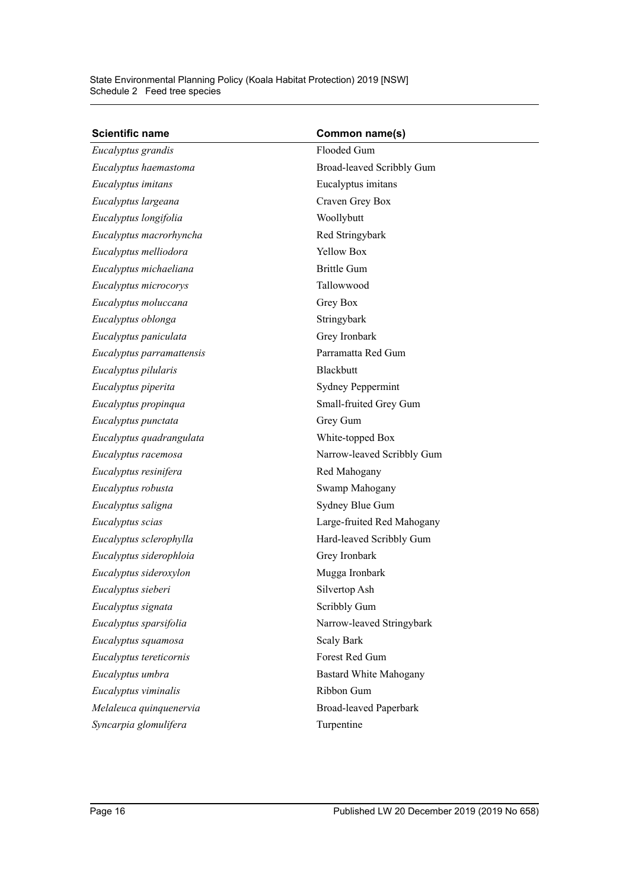| <b>Scientific name</b>    | Common name(s)                |
|---------------------------|-------------------------------|
| Eucalyptus grandis        | Flooded Gum                   |
| Eucalyptus haemastoma     | Broad-leaved Scribbly Gum     |
| Eucalyptus imitans        | Eucalyptus imitans            |
| Eucalyptus largeana       | Craven Grey Box               |
| Eucalyptus longifolia     | Woollybutt                    |
| Eucalyptus macrorhyncha   | Red Stringybark               |
| Eucalyptus melliodora     | <b>Yellow Box</b>             |
| Eucalyptus michaeliana    | <b>Brittle Gum</b>            |
| Eucalyptus microcorys     | Tallowwood                    |
| Eucalyptus moluccana      | Grey Box                      |
| Eucalyptus oblonga        | Stringybark                   |
| Eucalyptus paniculata     | Grey Ironbark                 |
| Eucalyptus parramattensis | Parramatta Red Gum            |
| Eucalyptus pilularis      | <b>Blackbutt</b>              |
| Eucalyptus piperita       | <b>Sydney Peppermint</b>      |
| Eucalyptus propinqua      | Small-fruited Grey Gum        |
| Eucalyptus punctata       | Grey Gum                      |
| Eucalyptus quadrangulata  | White-topped Box              |
| Eucalyptus racemosa       | Narrow-leaved Scribbly Gum    |
| Eucalyptus resinifera     | Red Mahogany                  |
| Eucalyptus robusta        | Swamp Mahogany                |
| Eucalyptus saligna        | Sydney Blue Gum               |
| Eucalyptus scias          | Large-fruited Red Mahogany    |
| Eucalyptus sclerophylla   | Hard-leaved Scribbly Gum      |
| Eucalyptus siderophloia   | Grey Ironbark                 |
| Eucalyptus sideroxylon    | Mugga Ironbark                |
| Eucalyptus sieberi        | Silvertop Ash                 |
| Eucalyptus signata        | Scribbly Gum                  |
| Eucalyptus sparsifolia    | Narrow-leaved Stringybark     |
| Eucalyptus squamosa       | <b>Scaly Bark</b>             |
| Eucalyptus tereticornis   | Forest Red Gum                |
| Eucalyptus umbra          | <b>Bastard White Mahogany</b> |
| Eucalyptus viminalis      | Ribbon Gum                    |
| Melaleuca quinquenervia   | <b>Broad-leaved Paperbark</b> |
| Syncarpia glomulifera     | Turpentine                    |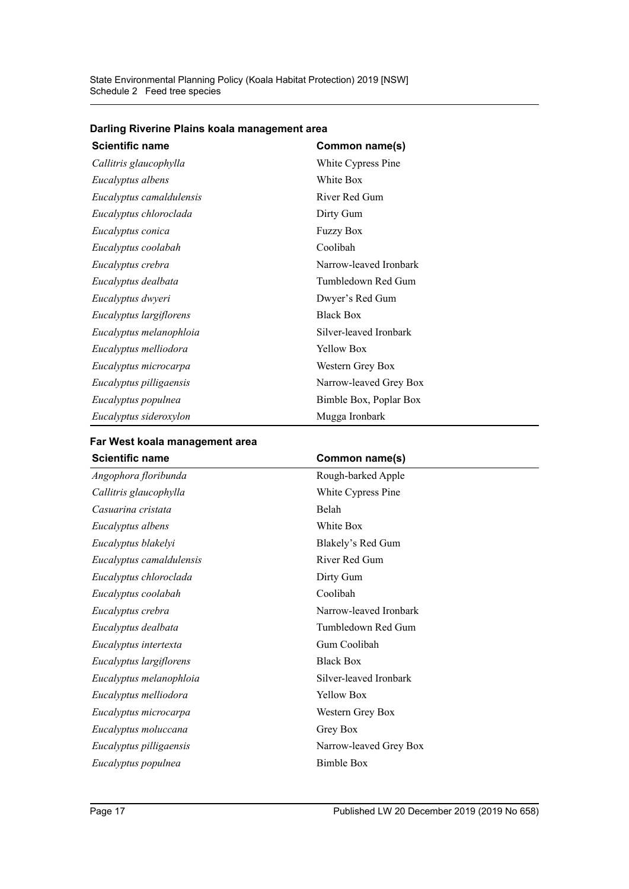| <b>Scientific name</b>   | Common name(s)         |
|--------------------------|------------------------|
| Callitris glaucophylla   | White Cypress Pine     |
| Eucalyptus albens        | White Box              |
| Eucalyptus camaldulensis | River Red Gum          |
| Eucalyptus chloroclada   | Dirty Gum              |
| Eucalyptus conica        | <b>Fuzzy Box</b>       |
| Eucalyptus coolabah      | Coolibah               |
| Eucalyptus crebra        | Narrow-leaved Ironbark |
| Eucalyptus dealbata      | Tumbledown Red Gum     |
| Eucalyptus dwyeri        | Dwyer's Red Gum        |
| Eucalyptus largiflorens  | <b>Black Box</b>       |
| Eucalyptus melanophloia  | Silver-leaved Ironbark |
| Eucalyptus melliodora    | Yellow Box             |
| Eucalyptus microcarpa    | Western Grey Box       |
| Eucalyptus pilligaensis  | Narrow-leaved Grey Box |
| Eucalyptus populnea      | Bimble Box, Poplar Box |
| Eucalyptus sideroxylon   | Mugga Ironbark         |

#### **Darling Riverine Plains koala management area**

| Common name(s)         |
|------------------------|
| Rough-barked Apple     |
| White Cypress Pine     |
| Belah                  |
| White Box              |
| Blakely's Red Gum      |
| River Red Gum          |
| Dirty Gum              |
| Coolibah               |
| Narrow-leaved Ironbark |
| Tumbledown Red Gum     |
| Gum Coolibah           |
| <b>Black Box</b>       |
| Silver-leaved Ironbark |
| <b>Yellow Box</b>      |
| Western Grey Box       |
| Grey Box               |
| Narrow-leaved Grey Box |
| <b>Bimble Box</b>      |
|                        |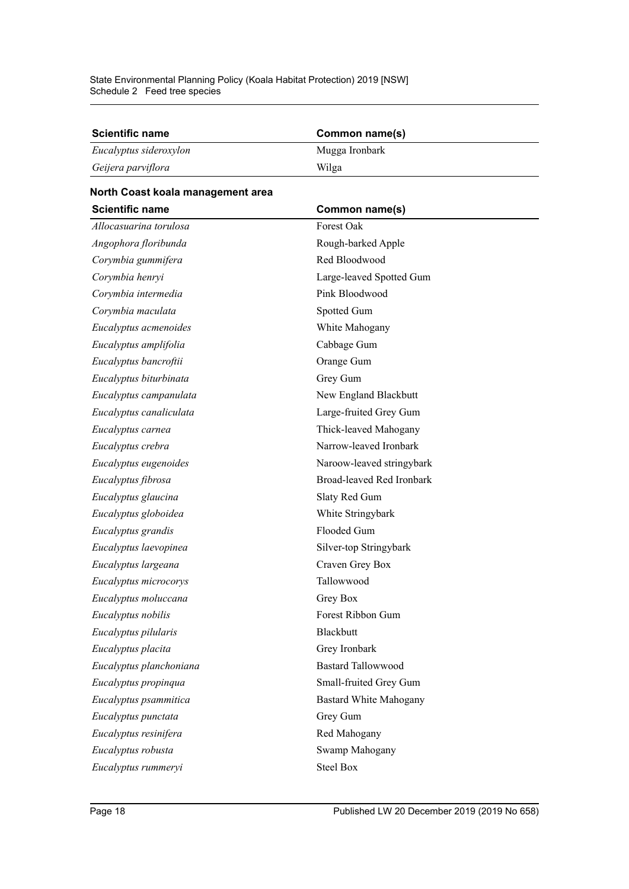| <b>Scientific name</b> | Common name(s) |
|------------------------|----------------|
| Eucalyptus sideroxylon | Mugga Ironbark |
| Geijera parviflora     | Wilga          |

# **North Coast koala management area**

| <b>Scientific name</b>  | Common name(s)                |
|-------------------------|-------------------------------|
| Allocasuarina torulosa  | Forest Oak                    |
| Angophora floribunda    | Rough-barked Apple            |
| Corymbia gummifera      | Red Bloodwood                 |
| Corymbia henryi         | Large-leaved Spotted Gum      |
| Corymbia intermedia     | Pink Bloodwood                |
| Corymbia maculata       | Spotted Gum                   |
| Eucalyptus acmenoides   | White Mahogany                |
| Eucalyptus amplifolia   | Cabbage Gum                   |
| Eucalyptus bancroftii   | Orange Gum                    |
| Eucalyptus biturbinata  | Grey Gum                      |
| Eucalyptus campanulata  | New England Blackbutt         |
| Eucalyptus canaliculata | Large-fruited Grey Gum        |
| Eucalyptus carnea       | Thick-leaved Mahogany         |
| Eucalyptus crebra       | Narrow-leaved Ironbark        |
| Eucalyptus eugenoides   | Naroow-leaved stringybark     |
| Eucalyptus fibrosa      | Broad-leaved Red Ironbark     |
| Eucalyptus glaucina     | Slaty Red Gum                 |
| Eucalyptus globoidea    | White Stringybark             |
| Eucalyptus grandis      | Flooded Gum                   |
| Eucalyptus laevopinea   | Silver-top Stringybark        |
| Eucalyptus largeana     | Craven Grey Box               |
| Eucalyptus microcorys   | Tallowwood                    |
| Eucalyptus moluccana    | Grey Box                      |
| Eucalyptus nobilis      | Forest Ribbon Gum             |
| Eucalyptus pilularis    | Blackbutt                     |
| Eucalyptus placita      | Grey Ironbark                 |
| Eucalyptus planchoniana | <b>Bastard Tallowwood</b>     |
| Eucalyptus propinqua    | Small-fruited Grey Gum        |
| Eucalyptus psammitica   | <b>Bastard White Mahogany</b> |
| Eucalyptus punctata     | Grey Gum                      |
| Eucalyptus resinifera   | Red Mahogany                  |
| Eucalyptus robusta      | Swamp Mahogany                |
| Eucalyptus rummeryi     | <b>Steel Box</b>              |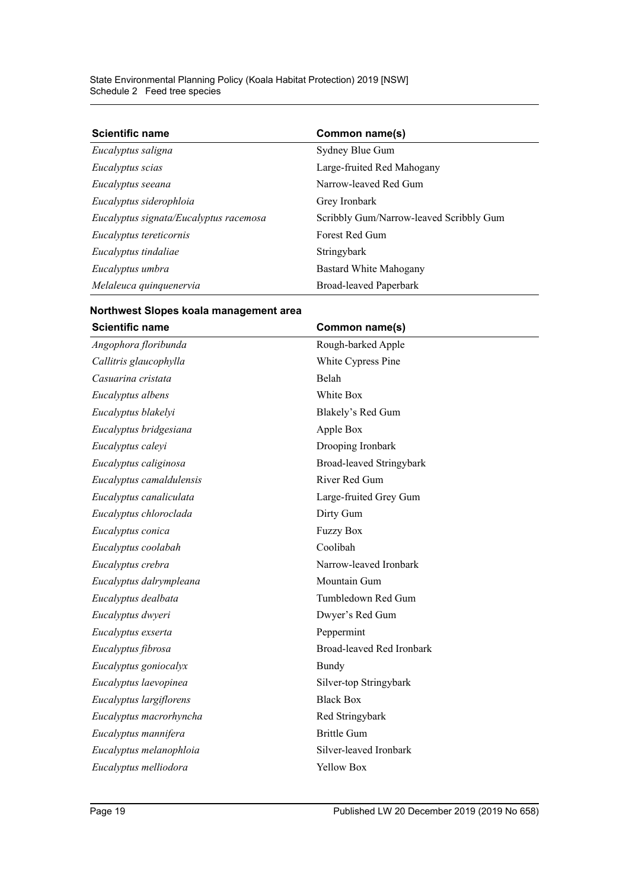| <b>Scientific name</b>                 | Common name(s)                          |
|----------------------------------------|-----------------------------------------|
| Eucalyptus saligna                     | Sydney Blue Gum                         |
| Eucalyptus scias                       | Large-fruited Red Mahogany              |
| Eucalyptus seeana                      | Narrow-leaved Red Gum                   |
| Eucalyptus siderophloia                | Grey Ironbark                           |
| Eucalyptus signata/Eucalyptus racemosa | Scribbly Gum/Narrow-leaved Scribbly Gum |
| Eucalyptus tereticornis                | Forest Red Gum                          |
| Eucalyptus tindaliae                   | Stringybark                             |
| Eucalyptus umbra                       | Bastard White Mahogany                  |
| Melaleuca quinquenervia                | <b>Broad-leaved Paperbark</b>           |

### **Northwest Slopes koala management area** Scientific name **Common name**(s)

| Angophora floribunda     | Rough-barked Apple        |
|--------------------------|---------------------------|
| Callitris glaucophylla   | White Cypress Pine        |
| Casuarina cristata       | Belah                     |
| Eucalyptus albens        | White Box                 |
| Eucalyptus blakelyi      | Blakely's Red Gum         |
| Eucalyptus bridgesiana   | Apple Box                 |
| Eucalyptus caleyi        | Drooping Ironbark         |
| Eucalyptus caliginosa    | Broad-leaved Stringybark  |
| Eucalyptus camaldulensis | River Red Gum             |
| Eucalyptus canaliculata  | Large-fruited Grey Gum    |
| Eucalyptus chloroclada   | Dirty Gum                 |
| Eucalyptus conica        | <b>Fuzzy Box</b>          |
| Eucalyptus coolabah      | Coolibah                  |
| Eucalyptus crebra        | Narrow-leaved Ironbark    |
| Eucalyptus dalrympleana  | Mountain Gum              |
| Eucalyptus dealbata      | Tumbledown Red Gum        |
| Eucalyptus dwyeri        | Dwyer's Red Gum           |
| Eucalyptus exserta       | Peppermint                |
| Eucalyptus fibrosa       | Broad-leaved Red Ironbark |
| Eucalyptus goniocalyx    | Bundy                     |
| Eucalyptus laevopinea    | Silver-top Stringybark    |
| Eucalyptus largiflorens  | <b>Black Box</b>          |
| Eucalyptus macrorhyncha  | Red Stringybark           |
| Eucalyptus mannifera     | <b>Brittle Gum</b>        |
| Eucalyptus melanophloia  | Silver-leaved Ironbark    |
| Eucalyptus melliodora    | Yellow Box                |
|                          |                           |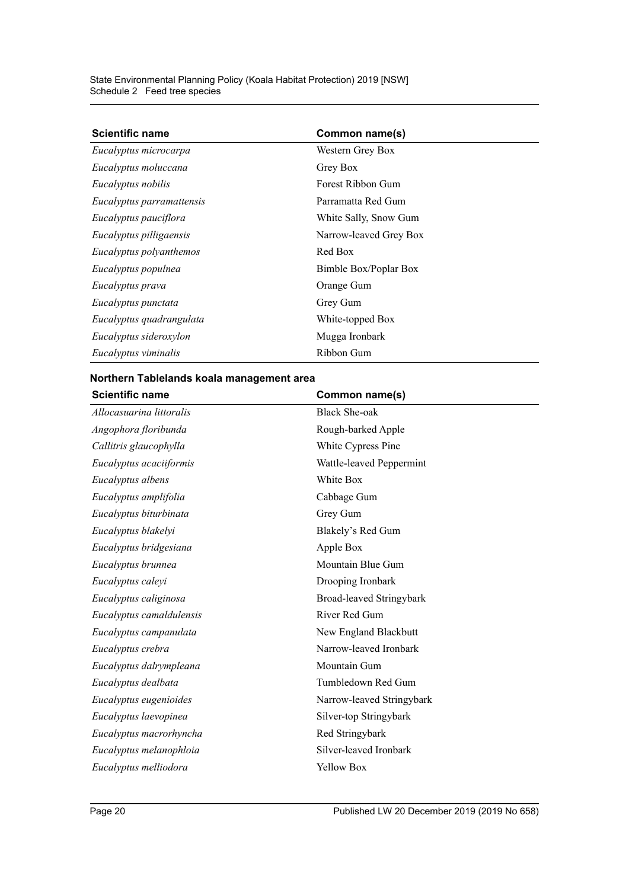| <b>Scientific name</b>    | Common name(s)         |  |
|---------------------------|------------------------|--|
| Eucalyptus microcarpa     | Western Grey Box       |  |
| Eucalyptus moluccana      | Grey Box               |  |
| Eucalyptus nobilis        | Forest Ribbon Gum      |  |
| Eucalyptus parramattensis | Parramatta Red Gum     |  |
| Eucalyptus pauciflora     | White Sally, Snow Gum  |  |
| Eucalyptus pilligaensis   | Narrow-leaved Grey Box |  |
| Eucalyptus polyanthemos   | Red Box                |  |
| Eucalyptus populnea       | Bimble Box/Poplar Box  |  |
| Eucalyptus prava          | Orange Gum             |  |
| Eucalyptus punctata       | Grey Gum               |  |
| Eucalyptus quadrangulata  | White-topped Box       |  |
| Eucalyptus sideroxylon    | Mugga Ironbark         |  |
| Eucalyptus viminalis      | Ribbon Gum             |  |

#### **Northern Tablelands koala management area**

| <b>Scientific name</b>   | Common name(s)            |
|--------------------------|---------------------------|
| Allocasuarina littoralis | <b>Black She-oak</b>      |
| Angophora floribunda     | Rough-barked Apple        |
| Callitris glaucophylla   | White Cypress Pine        |
| Eucalyptus acaciiformis  | Wattle-leaved Peppermint  |
| Eucalyptus albens        | White Box                 |
| Eucalyptus amplifolia    | Cabbage Gum               |
| Eucalyptus biturbinata   | Grey Gum                  |
| Eucalyptus blakelyi      | Blakely's Red Gum         |
| Eucalyptus bridgesiana   | Apple Box                 |
| Eucalyptus brunnea       | Mountain Blue Gum         |
| Eucalyptus caleyi        | Drooping Ironbark         |
| Eucalyptus caliginosa    | Broad-leaved Stringybark  |
| Eucalyptus camaldulensis | River Red Gum             |
| Eucalyptus campanulata   | New England Blackbutt     |
| Eucalyptus crebra        | Narrow-leaved Ironbark    |
| Eucalyptus dalrympleana  | Mountain Gum              |
| Eucalyptus dealbata      | Tumbledown Red Gum        |
| Eucalyptus eugenioides   | Narrow-leaved Stringybark |
| Eucalyptus laevopinea    | Silver-top Stringybark    |
| Eucalyptus macrorhyncha  | Red Stringybark           |
| Eucalyptus melanophloia  | Silver-leaved Ironbark    |
| Eucalyptus melliodora    | Yellow Box                |
|                          |                           |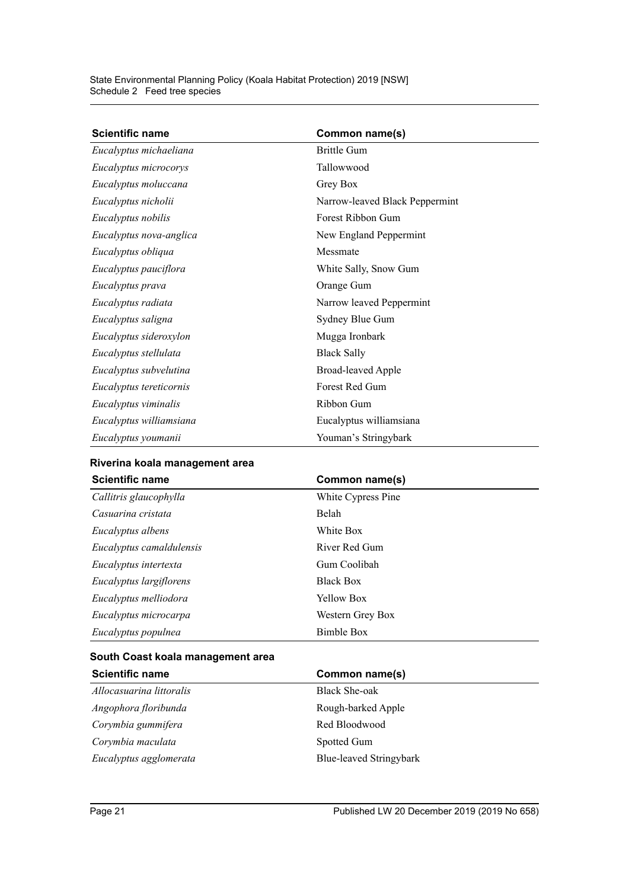| <b>Scientific name</b>  | Common name(s)                 |
|-------------------------|--------------------------------|
| Eucalyptus michaeliana  | <b>Brittle Gum</b>             |
| Eucalyptus microcorys   | Tallowwood                     |
| Eucalyptus moluccana    | Grey Box                       |
| Eucalyptus nicholii     | Narrow-leaved Black Peppermint |
| Eucalyptus nobilis      | Forest Ribbon Gum              |
| Eucalyptus nova-anglica | New England Peppermint         |
| Eucalyptus obliqua      | Messmate                       |
| Eucalyptus pauciflora   | White Sally, Snow Gum          |
| Eucalyptus prava        | Orange Gum                     |
| Eucalyptus radiata      | Narrow leaved Peppermint       |
| Eucalyptus saligna      | Sydney Blue Gum                |
| Eucalyptus sideroxylon  | Mugga Ironbark                 |
| Eucalyptus stellulata   | <b>Black Sally</b>             |
| Eucalyptus subvelutina  | <b>Broad-leaved Apple</b>      |
| Eucalyptus tereticornis | Forest Red Gum                 |
| Eucalyptus viminalis    | Ribbon Gum                     |
| Eucalyptus williamsiana | Eucalyptus williamsiana        |
| Eucalyptus youmanii     | Youman's Stringybark           |

#### **Riverina koala management area**

| <b>Scientific name</b>   | Common name(s)     |  |
|--------------------------|--------------------|--|
| Callitris glaucophylla   | White Cypress Pine |  |
| Casuarina cristata       | <b>Belah</b>       |  |
| Eucalyptus albens        | White Box          |  |
| Eucalyptus camaldulensis | River Red Gum      |  |
| Eucalyptus intertexta    | Gum Coolibah       |  |
| Eucalyptus largiflorens  | <b>Black Box</b>   |  |
| Eucalyptus melliodora    | <b>Yellow Box</b>  |  |
| Eucalyptus microcarpa    | Western Grey Box   |  |
| Eucalyptus populnea      | Bimble Box         |  |

### **South Coast koala management area**